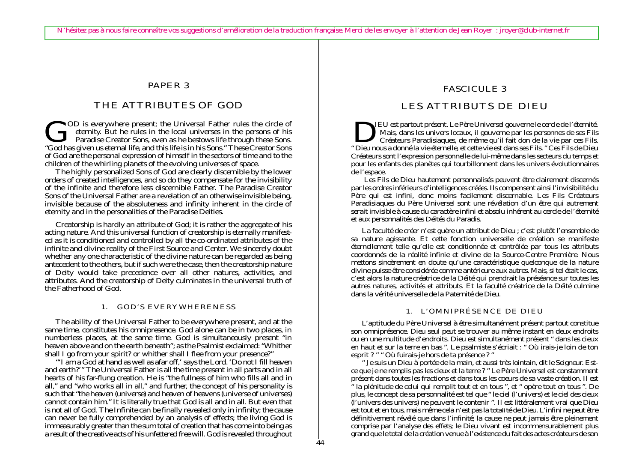## PAPER 3

# THE ATTRIBUTES OF GOD

OD is everywhere present; the Universal Father rules the circle of eternity. But he rules in the local universes in the persons of his **Paradise Creator Sons, even as he bestows life through these Sons.** "God has given us eternal life, and this life is in his Sons." These Creator Sons of God are the personal expression of himself in the sectors of time and to the children of the whirling planets of the evolving universes of space. G

The highly personalized Sons of God are clearly discernible by the lower orders of created intelligences, and so do they compensate for the invisibility of the infinite and therefore less discernible Father. The Paradise Creator Sons of the Universal Father are a revelation of an otherwise invisible being, invisible because of the absoluteness and infinity inherent in the circle of eternity and in the personalities of the Paradise Deities.

Creatorship is hardly an attribute of God; it is rather the aggregate of his acting nature. And this universal function of creatorship is eternally manifested as it is conditioned and controlled by all the co-ordinated attributes of the infinite and divine reality of the First Source and Center. We sincerely doubt whether any one characteristic of the divine nature can be regarded as being antecedent to the others, but if such were the case, then the creatorship nature of Deity would take precedence over all other natures, activities, and attributes. And the creatorship of Deity culminates in the universal truth of the Fatherhood of God.

### 1. GOD'S EVERYWHERENESS

The ability of the Universal Father to be everywhere present, and at the same time, constitutes his omnipresence. God alone can be in two places, in numberless places, at the same time. God is simultaneously present "in heaven above and on the earth beneath"; as the Psalmist exclaimed: "Whither shall I go from your spirit? or whither shall I flee from your presence?"

"'I am a God at hand as well as afar off,' says the Lord. 'Do not I fill heaven and earth?'" The Universal Father is all the time present in all parts and in all hearts of his far-flung creation. He is "the fullness of him who fills all and in all," and "who works all in all," and further, the concept of his personality is such that "the heaven (universe) and heaven of heavens (universe of universes) cannot contain him." It is literally true that God is all and in all. But even that is not *all* of God. The Infinite can be finally revealed only in infinity; the cause can never be fully comprehended by an analysis of effects; the living God is immeasurably greater than the sum total of creation that has come into being as a result of the creative acts of his unfettered free will. God is revealed throughout

## FASCICULE 3

# LES ATTRIBUTS DE DIEU

IEU est partout présent. Le Père Universel gouverne le cercle de l'éternité. Mais, dans les univers locaux, il gouverne par les personnes de ses Fils Créateurs Paradisiaques, de même qu'il fait don de la vie par ces Fils. " Dieu nous a donné la vie éternelle, et cette vie est dans ses Fils. " Ces Fils de Dieu Créateurs sont l'expression personnelle de lui-même dans les secteurs du temps et pour les enfants des planètes qui tourbillonnent dans les univers évolutionnaires de l'espace.  $\mathbf{D}$ 

Les Fils de Dieu hautement personnalisés peuvent être clairement discernés par les ordres inférieurs d'intelligences créées. Ils compensent ainsi l'invisibilité du Père qui est infini, donc moins facilement discernable. Les Fils Créateurs Paradisiaques du Père Universel sont une révélation d'un être qui autrement serait invisible à cause du caractère infini et absolu inhérent au cercle de l'éternité et aux personnalités des Déités du Paradis.

La faculté de créer n'est guère un attribut de Dieu ; c'est plutôt l'ensemble de sa nature agissante. Et cette fonction universelle de création se manifeste éternellement telle qu'elle est conditionnée et contrôlée par tous les attributs coordonnés de la réalité infinie et divine de la Source-Centre Première. Nous mettons sincèrement en doute qu'une caractéristique quelconque de la nature divine puisse être considérée comme antérieure aux autres. Mais, si tel était le cas, c'est alors la nature créatrice de la Déité qui prendrait la préséance sur toutes les autres natures, activités et attributs. Et la faculté créatrice de la Déité culmine dans la vérité universelle de la Paternité de Dieu.

### 1. L'OMNIPRÉSENCE DE DIEU

L'aptitude du Père Universel à être simultanément présent partout constitue son omniprésence. Dieu seul peut se trouver au même instant en deux endroits ou en une multitude d'endroits. Dieu est simultanément présent " dans les cieux en haut et sur la terre en bas ". Le psalmiste s'écriait : " Où irais-je loin de ton esprit ? " " Où fuirais-je hors de ta présence ? "

" Je suis un Dieu à portée de la main, et aussi très lointain, dit le Seigneur. Estce que je ne remplis pas les cieux et la terre ? " Le Père Universel est constamment présent dans toutes les fractions et dans tous les coeurs de sa vaste création. Il est " la plénitude de celui qui remplit tout et en tous ", et " opère tout en tous ". De plus, le concept de sa personnalité est tel que " le ciel (l'univers) et le ciel des cieux (l'univers des univers) ne peuvent le contenir ". Il est littéralement vrai que Dieu est tout et en tous, mais même cela n'est pas la *totalit*é de Dieu. L'infini ne peut être définitivement révélé que dans l'infinité; la cause ne peut jamais être pleinement comprise par l'analyse des effets; le Dieu vivant est incommensurablement plus grand que le total de la création venue à l'existence du fait des actes créateurs de son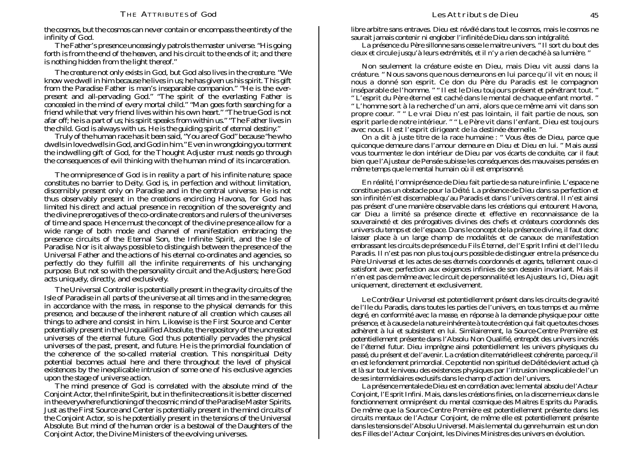the cosmos, but the cosmos can never contain or encompass the entirety of the infinity of God.

The Father's presence unceasingly patrols the master universe. "His going forth is from the end of the heaven, and his circuit to the ends of it; and there is nothing hidden from the light thereof."

The creature not only exists in God, but God also lives in the creature. "We know we dwell in him because he lives in us; he has given us his spirit. This gift from the Paradise Father is man's inseparable companion." "He is the everpresent and all-pervading God." "The spirit of the everlasting Father is concealed in the mind of every mortal child." "Man goes forth searching for a friend while that very friend lives within his own heart." "The true God is not afar off; he is a part of us; his spirit speaks from within us." "The Father lives in the child. God is always with us. He is the guiding spirit of eternal destiny."

Truly of the human race has it been said, "You are of God" because "he who dwells in love dwells in God, and God in him." Even in wrongdoing you torment the indwelling gift of God, for the Thought Adjuster must needs go through the consequences of evil thinking with the human mind of its incarceration.

The omnipresence of God is in reality a part of his infinite nature; space constitutes no barrier to Deity. God is, in perfection and without limitation, discernibly present only on Paradise and in the central universe. He is not thus observably present in the creations encircling Havona, for God has limited his direct and actual presence in recognition of the sovereignty and the divine prerogatives of the co-ordinate creators and rulers of the universes of time and space. Hence must the concept of the divine presence allow for a wide range of both mode and channel of manifestation embracing the presence circuits of the Eternal Son, the Infinite Spirit, and the Isle of Paradise. Nor is it always possible to distinguish between the presence of the Universal Father and the actions of his eternal co-ordinates and agencies, so perfectly do they fulfill all the infinite requirements of his unchanging purpose. But not so with the personality circuit and the Adjusters; here God acts uniquely, directly, and exclusively.

The Universal Controller is potentially present in the gravity circuits of the Isle of Paradise in all parts of the universe at all times and in the same degree, in accordance with the mass, in response to the physical demands for this presence, and because of the inherent nature of all creation which causes all things to adhere and consist in him. Likewise is the First Source and Center potentially present in the Unqualified Absolute, the repository of the uncreated universes of the eternal future. God thus potentially pervades the physical universes of the past, present, and future. He is the primordial foundation of the coherence of the so-called material creation. This nonspiritual Deity potential becomes actual here and there throughout the level of physical existences by the inexplicable intrusion of some one of his exclusive agencies upon the stage of universe action.

The mind presence of God is correlated with the absolute mind of the Conjoint Actor, the Infinite Spirit, but in the finite creations it is better discerned in the everywhere functioning of the cosmic mind of the Paradise Master Spirits. Just as the First Source and Center is potentially present in the mind circuits of the Conjoint Actor, so is he potentially present in the tensions of the Universal Absolute. But mind of the human order is a bestowal of the Daughters of the Conjoint Actor, the Divine Ministers of the evolving universes.

libre arbitre sans entraves. Dieu est révélé dans tout le cosmos, mais le cosmos ne saurait jamais contenir ni englober l'infinité de Dieu dans son intégralité.

La présence du Père sillonne sans cesse le maitre univers. " Il sort du bout des cieux et circule jusqu'à leurs extrémités, et il n'y a rien de caché à sa lumière. "

Non seulement la créature existe en Dieu, mais Dieu vit aussi dans la créature. " Nous savons que nous demeurons en lui parce qu'il vit en nous; il nous a donné son esprit. Ce don du Père du Paradis est le compagnon inséparable de l'homme. " " Il est le Dieu toujours présent et pénétrant tout. " " L'esprit du Père éternel est caché dans le mental de chaque enfant mortel. " " L'homme sort à la recherche d'un ami, alors que ce même ami vit dans son propre coeur. " " Le vrai Dieu n'est pas lointain, il fait partie de nous, son esprit parle de notre intérieur. " " Le Père vit dans l'enfant. Dieu est toujours avec nous. Il est l'esprit dirigeant de la destinée éternelle. "

On a dit à juste titre de la race humaine : " Vous êtes de Dieu, parce que quiconque demeure dans l'amour demeure en Dieu et Dieu en lui. " Mais aussi vous tourmentez le don intérieur de Dieu par vos écarts de conduite, car il faut bien que l'Ajusteur de Pensée subisse les conséquences des mauvaises pensées en même temps que le mental humain où il est emprisonné.

En réalité, l'omniprésence de Dieu fait partie de sa nature infinie. L'espace ne constitue pas un obstacle pour la Déité. La présence de Dieu dans sa perfection et son infinité n'est discernable qu'au Paradis et dans l'univers central. Il n'est ainsi pas présent d'une manière observable dans les créations qui entourent Havona, car Dieu a limité sa présence directe et effective en reconnaissance de la souveraineté et des prérogatives divines des chefs et créateurs coordonnés des univers du temps et de l'espace. Dans le concept de la présence divine, il faut donc laisser place à un large champ de modalités et de canaux de manifestation embrassant les circuits de présence du Fils Éternel, de l'Esprit Infini et de l'Ile du Paradis. Il n'est pas non plus toujours possible de distinguer entre la présence du Père Universel et les actes de ses éternels coordonnés et agents, tellement ceux-ci satisfont avec perfection aux exigences infinies de son dessein invariant. Mais il n'en est pas de même avec le circuit de personnalité et les Ajusteurs. Ici, Dieu agit uniquement, directement et exclusivement.

Le Contrôleur Universel est potentiellement présent dans les circuits de gravité de l'Ile du Paradis, dans toutes les parties de l'univers, en tous temps et au même degré, en conformité avec la masse, en réponse à la demande physique pour cette présence, et à cause de la nature inhérente à toute création qui fait que toutes choses adhèrent à lui et subsistent en lui. Similairement, la Source-Centre Première est potentiellement présente dans l'Absolu Non Qualifié, entrepôt des univers incréés de l'éternel futur. Dieu imprègne ainsi potentiellement les univers physiques du passé, du présent et de l'avenir. La création dite matérielle est cohérente, parce qu'il en est le fondement primordial. Ce potentiel non spirituel de Déité devient actuel çà et là sur tout le niveau des existences physiques par l'intrusion inexplicable de l'un de ses intermédiaires exclusifs dans le champ d'action de l'univers.

La présence mentale de Dieu est en corrélation avec le mental absolu de l'Acteur Conjoint, l'Esprit Infini. Mais, dans les créations finies, on la discerne mieux dans le fonctionnement omniprésent du mental cosmique des Maitres Esprits du Paradis. De même que la Source-Centre Première est potentiellement présente dans les circuits mentaux de l'Acteur Conjoint, de même elle est potentiellement présente dans les tensions de l'Absolu Universel. Mais le mental du genre humain est un don des Filles de l'Acteur Conjoint, les Divines Ministres des univers en évolution.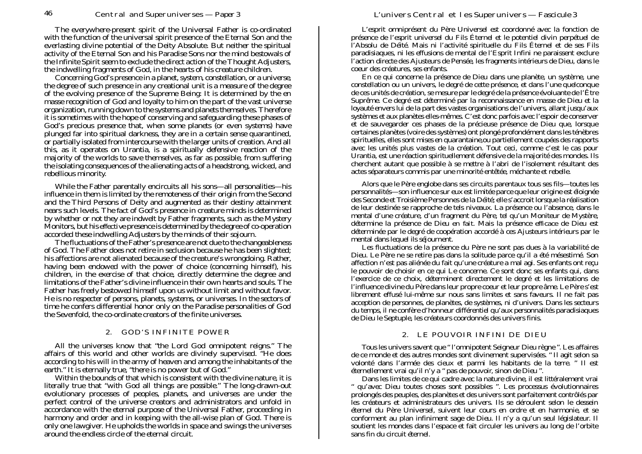The everywhere-present spirit of the Universal Father is co-ordinated with the function of the universal spirit presence of the Eternal Son and the everlasting divine potential of the Deity Absolute. But neither the spiritual activity of the Eternal Son and his Paradise Sons nor the mind bestowals of the Infinite Spirit seem to exclude the direct action of the Thought Adjusters, the indwelling fragments of God, in the hearts of his creature children.

Concerning God's presence in a planet, system, constellation, or a universe, the degree of such presence in any creational unit is a measure of the degree of the evolving presence of the Supreme Being: It is determined by the en masse recognition of God and loyalty to him on the part of the vast universe organization, running down to the systems and planets themselves. Therefore God's precious presence that, when some planets (or even systems) have plunged far into spiritual darkness, they are in a certain sense quarantined, or partially isolated from intercourse with the larger units of creation. And all this, as it operates on Urantia, is a spiritually defensive reaction of the majority of the worlds to save themselves, as far as possible, from suffering the isolating consequences of the alienating acts of a headstrong, wicked, and rebellious minority.

While the Father parentally encircuits all his sons—all personalities—his influence in them is limited by the remoteness of their origin from the Second and the Third Persons of Deity and augmented as their destiny attainment nears such levels. The *fact* of God's presence in creature minds is determined by whether or not they are indwelt by Father fragments, such as the Mystery Monitors, but his *effective* presence is determined by the degree of co-operation accorded these indwelling Adjusters by the minds of their sojourn.

The fluctuations of the Father's presence are not due to the changeableness of God. The Father does not retire in seclusion because he has been slighted; having been endowed with the power of choice (concerning himself), his children, in the exercise of that choice, directly determine the degree and limitations of the Father's divine influence in their own hearts and souls. The Father has freely bestowed himself upon us without limit and without favor. He is no respecter of persons, planets, systems, or universes. In the sectors of time he confers differential honor only on the Paradise personalities of God the Sevenfold, the co-ordinate creators of the finite universes.

### 2. GOD'S INFINITE POWER

All the universes know that "the Lord God omnipotent reigns." The affairs of this world and other worlds are divinely supervised. "He does according to his will in the army of heaven and among the inhabitants of the earth." It is eternally true, "there is no power but of God."

Within the bounds of that which is consistent with the divine nature, it is literally true that "with God all things are possible." The long-drawn-out evolutionary processes of peoples, planets, and universes are under the perfect control of the universe creators and administrators and unfold in accordance with the eternal purpose of the Universal Father, proceeding in harmony and order and in keeping with the all-wise plan of God. There is only one lawgiver. He upholds the worlds in space and swings the universes around the endless circle of the eternal circuit.

L'esprit omniprésent du Père Universel est coordonné avec la fonction de présence de l'esprit universel du Fils Éternel et le potentiel divin perpétuel de l'Absolu de Déité. Mais ni l'activité spirituelle du Fils Éternel e paradisiaques, ni les effusions de mental de l'Esprit Infini ne paraissent exclure l'action directe des Ajusteurs de Pensée, les fragments intérieurs de Dieu, dans le coeur des créatures, ses enfants.

En ce qui concerne la présence de Dieu dans une planète, un système, une constellation ou un univers, le degré de cette présence, et dans l'une quelconque de ces unités de création, se mesure par le degré de la présence évoluante de l'Être Suprême. Ce degré est déterminé par la reconnaissance en masse de Dieu et la loyauté envers lui de la part des vastes organisations de l'univers, allant jusqu'aux systèmes et aux planètes elles-mêmes. C'est donc parfois avec l'espoir de conserver et de sauvegarder ces phases de la précieuse présence de Dieu que, lorsque certaines planètes (voire des systèmes) ont plongé profondément dans les ténèbres spirituelles, elles sont mises en quarantaine,ou partiellement coupées des rapports avec les unités plus vastes de la création. Tout ceci, comme c'est le cas pour Urantia, est une réaction spirituellement défensive de la majorité des mondes. Ils cherchent autant que possible à se mettre à l'abri de l'isolement résultant des actes séparateurs commis par une minorité entêtée, méchante et rebelle.

Alors que le Père englobe dans ses circuits parentaux tous ses fils—toutes les personnalités—son influence sur eux est limitée parce que leur origine est éloignée des Seconde et Troisième Personnes de la Déité; elle s'accroit lorsque la réalisation de leur destinée se rapproche de tels niveaux. La présence ou l'absence, dans le mental d'une créature, d'un fragment du Père, tel qu'un Moniteur de Mystère, détermine la présence de Dieu *en fait*. Mais la présence *efficace* de Dieu est déterminée par le degré de coopération accordé à ces Ajusteurs intérieurs par le mental dans lequel ils séjournent.

Les fluctuations de la présence du Père ne sont pas dues à la variabilité de Dieu. Le Père ne se retire pas dans la solitude parce qu'il a été mésestimé. Son affection n'est pas aliénée du fait qu'une créature a mal agi. Ses enfants ont reçu le pouvoir de choisir en ce qui Le concerne. Ce sont donc ses enfants qui, dans l'exercice de ce choix, déterminent directement le degré et les limitations de l'influence divine du Père dans leur propre coeur et leur propre âme. Le Père s'est librement effusé lui-même sur nous sans limites et sans faveurs. Il ne fait pas acception de personnes, de planètes, de systèmes, ni d'univers. Dans les secteurs du temps, il ne confère d'honneur différentiel qu'aux personnalités paradisiaques de Dieu le Septuple, les créateurs coordonnés des univers finis.

### 2. LE POUVOIR INFINI DE DIEU

Tous les univers savent que " l'omnipotent Seigneur Dieu règne ". Les affaires de ce monde et des autres mondes sont divinement supervisées. " Il agit selon sa volonté dans l'armée des cieux et parmi les habitants de la terre. " Il est éternellement vrai qu'il n'y a " pas de pouvoir, sinon de Dieu ".

Dans les limites de ce qui cadre avec la nature divine, il est littéralement vrai " qu'avec Dieu toutes choses sont possibles ". Les processus évolutionnaires prolongés des peuples, des planètes et des univers sont parfaitement contrôlés par les créateurs et administrateurs des univers. Ils se déroulent selon le dessein éternel du Père Universel, suivent leur cours en ordre et en harmonie, et se conforment au plan infiniment sage de Dieu. Il n'y a qu'un seul législateur. Il soutient les mondes dans l'espace et fait circuler les univers au long de l'orbite sans fin du circuit éternel.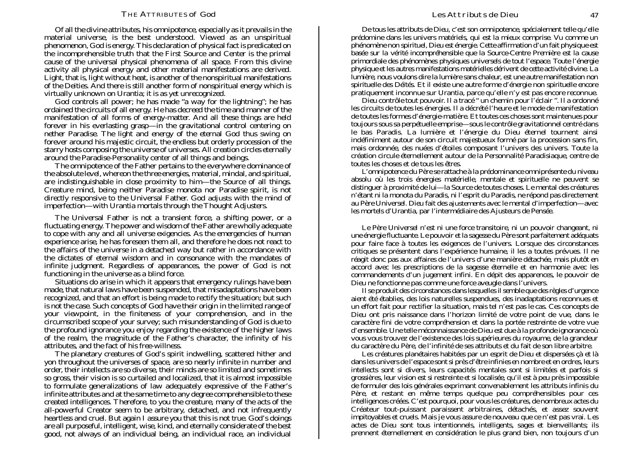Of all the divine attributes, his omnipotence, especially as it prevails in the material universe, is the best understood. Viewed as an unspiritual phenomenon, God is energy. This declaration of physical fact is predicated on the incomprehensible truth that the First Source and Center is the primal cause of the universal physical phenomena of all space. From this divine activity all physical energy and other material manifestations are derived. Light, that is, light without heat, is another of the nonspiritual manifestations of the Deities. And there is still another form of nonspiritual energy which is virtually unknown on Urantia; it is as yet unrecognized.

God controls all power; he has made "a way for the lightning"; he has ordained the circuits of all energy. He has decreed the time and manner of the manifestation of all forms of energy-matter. And all these things are held forever in his everlasting grasp—in the gravitational control centering on nether Paradise. The light and energy of the eternal God thus swing on forever around his majestic circuit, the endless but orderly procession of the starry hosts composing the universe of universes. All creation circles eternally around the Paradise-Personality center of all things and beings.

The omnipotence of the Father pertains to the everywhere dominance of the absolute level, whereon the three energies, material, mindal, and spiritual, are indistinguishable in close proximity to him—the Source of all things. Creature mind, being neither Paradise monota nor Paradise spirit, is not directly responsive to the Universal Father. God *adjusts* with the mind of imperfection—with Urantia mortals through the Thought Adjusters.

The Universal Father is not a transient force, a shifting power, or a fluctuating energy. The power and wisdom of the Father are wholly adequate to cope with any and all universe exigencies. As the emergencies of human experience arise, he has foreseen them all, and therefore he does not react to the affairs of the universe in a detached way but rather in accordance with the dictates of eternal wisdom and in consonance with the mandates of infinite judgment. Regardless of appearances, the power of God is not functioning in the universe as a blind force.

Situations do arise in which it appears that emergency rulings have been made, that natural laws have been suspended, that misadaptations have been recognized, and that an effort is being made to rectify the situation; but such is not the case. Such concepts of God have their origin in the limited range of your viewpoint, in the finiteness of your comprehension, and in the circumscribed scope of your survey; such misunderstanding of God is due to the profound ignorance you enjoy regarding the existence of the higher laws of the realm, the magnitude of the Father's character, the infinity of his attributes, and the fact of his free-willness.

The planetary creatures of God's spirit indwelling, scattered hither and yon throughout the universes of space, are so nearly infinite in number and order, their intellects are so diverse, their minds are so limited and sometimes so gross, their vision is so curtailed and localized, that it is almost impossible to formulate generalizations of law adequately expressive of the Father's infinite attributes and at the same time to any degree comprehensible to these created intelligences. Therefore, to you the creature, many of the acts of the all-powerful Creator seem to be arbitrary, detached, and not infrequently heartless and cruel. But again I assure you that this is not true. God's doings are all purposeful, intelligent, wise, kind, and eternally considerate of the best good, not always of an individual being, an individual race, an individual

#### Les Attributs de Dieu 47

De tous les attributs de Dieu, c'est son omnipotence, spécialement telle qu'elle prédomine dans les univers matériels, qui est la mieux comprise. Vu comme un phénomène non spirituel, Dieu est énergie. Cette affirmation d'un fait physique est basée sur la vérité incompréhensible que la Source-Centre Première est la cause primordiale des phénomènes physiques universels de tout l'espace. Toute l'énergie physique et les autres manifestations matérielles dérivent de cette activité divine. La lumière, nous voulons dire la lumière sans chaleur, est une autre manifestation non spirituelle des Déités. Et il existe une autre forme d'énergie non spirituelle encore pratiquement inconnue sur Urantia, parce qu'elle n'y est pas encore reconnue.

Dieu contrôle tout pouvoir. Il a tracé " un chemin pour l'éclair ". Il a ordonné les circuits de toutes les énergies. Il a décrété l'heure et le mode de manifestation de toutes les formes d'énergie-matière. Et toutes ces choses sont maintenues pour toujours sous sa perpétuelle emprise—sous le contrôle gravitationnel centré dans le bas Paradis. La lumière et l'énergie du Dieu éternel tournent ainsi indéfiniment autour de son circuit majestueux formé par la procession sans fin, mais ordonnée, des nuées d'étoiles composant l'univers des univers. Toute la création circule éternellement autour de la Personnalité Paradisiaque, centre de toutes les choses et de tous les êtres.

L'omnipotence du Père se rattache à la prédominance omniprésente du niveau absolu où les trois énergies matérielle, mentale et spirituelle ne peuvent se distinguer à proximité de lui—la Source de toutes choses. Le mental des créatures n'étant ni la monota du Paradis, ni l'esprit du Paradis, ne répond pas directement au Père Universel. Dieu fait des *ajustements* avec le mental d'imperfection—avec les mortels d'Urantia, par l'intermédiaire des Ajusteurs de Pensée.

Le Père Universel n'est ni une force transitoire, ni un pouvoir changeant, ni une énergie fluctuante. Le pouvoir et la sagesse du Père sont parfaitement adéquats pour faire face à toutes les exigences de l'univers. Lorsque des circonstances critiques se présentent dans l'expérience humaine, il les a toutes prévues. Il ne réagit donc pas aux affaires de l'univers d'une manière détachée, mais plutôt en accord avec les prescriptions de la sagesse éternelle et en harmonie avec les commandements d'un jugement infini. En dépit des apparences, le pouvoir de Dieu ne fonctionne pas comme une force aveugle dans l'univers.

Il se produit des circonstances dans lesquelles il semble que des règles d'urgence aient été établies, des lois naturelles suspendues, des inadaptations reconnues et un effort fait pour rectifier la situation, mais tel n'est pas le cas. Ces concepts de Dieu ont pris naissance dans l'horizon limité de votre point de vue, dans le caractère fini de votre compréhension et dans la portée restreinte de votre vue d'ensemble. Une telle méconnaissance de Dieu est due à la profonde ignorance où vous vous trouvez de l'existence des lois supérieures du royaume, de la grandeur du caractère du Père, de l'infinité de ses attributs et du fait de son libre arbitre.

Les créatures planétaires habitées par un esprit de Dieu et dispersées çà et là dans les univers de l'espace sont si près d'être infinies en nombre et en ordres, leurs intellects sont si divers, leurs capacités mentales sont si limitées et parfois si grossières, leur vision est si restreinte et si localisée, qu'il est à peu près impossible de formuler des lois générales exprimant convenablement les attributs infinis du Père, et restant en même temps quelque peu compréhensibles pour ces intelligences créées. C'est pourquoi, pour vous les créatures, de nombreux actes du Créateur tout-puissant paraissent arbitraires, détachés, et assez souvent impitoyables et cruels. Mais je vous assure de nouveau que ce n'est pas vrai. Les actes de Dieu sont tous intentionnels, intelligents, sages et bienveillants; ils prennent éternellement en considération le plus grand bien, non toujours d'un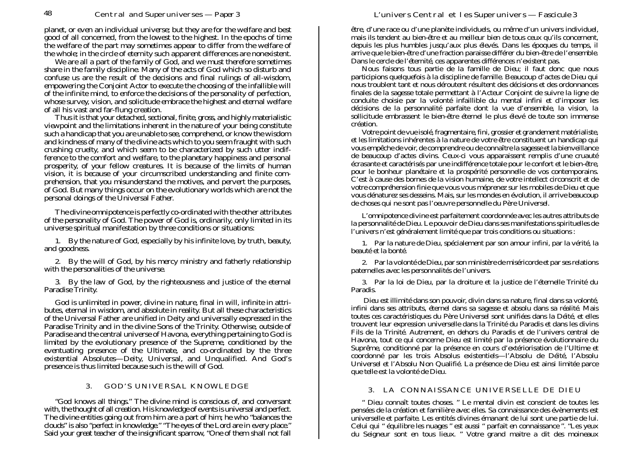planet, or even an individual universe; but they are for the welfare and best good of all concerned, from the lowest to the highest. In the epochs of time the welfare of the part may sometimes appear to differ from the welfare of the whole; in the circle of eternity such apparent differences are nonexistent.

We are all a part of the family of God, and we must therefore sometimes share in the family discipline. Many of the acts of God which so disturb and confuse us are the result of the decisions and final rulings of all-wisdom, empowering the Conjoint Actor to execute the choosing of the infallible will of the infinite mind, to enforce the decisions of the personality of perfection, whose survey, vision, and solicitude embrace the highest and eternal welfare of all his vast and far-flung creation.

Thus it is that your detached, sectional, finite, gross, and highly materialistic viewpoint and the limitations inherent in the nature of your being constitute such a handicap that you are unable to see, comprehend, or know the wisdom and kindness of many of the divine acts which to you seem fraught with such crushing cruelty, and which seem to be characterized by such utter indifference to the comfort and welfare, to the planetary happiness and personal prosperity, of your fellow creatures. It is because of the limits of human vision, it is because of your circumscribed understanding and finite comprehension, that you misunderstand the motives, and pervert the purposes, of God. But many things occur on the evolutionary worlds which are not the personal doings of the Universal Father.

The divine omnipotence is perfectly co-ordinated with the other attributes of the personality of God. The power of God is, ordinarily, only limited in its universe spiritual manifestation by three conditions or situations:

1. By the nature of God, especially by his infinite love, by truth, beauty, and goodness.

2. By the will of God, by his mercy ministry and fatherly relationship with the personalities of the universe.

3. By the law of God, by the righteousness and justice of the eternal Paradise Trinity.

God is unlimited in power, divine in nature, final in will, infinite in attributes, eternal in wisdom, and absolute in reality. But all these characteristics of the Universal Father are unified in Deity and universally expressed in the Paradise Trinity and in the divine Sons of the Trinity. Otherwise, outside of Paradise and the central universe of Havona, everything pertaining to God is limited by the evolutionary presence of the Supreme, conditioned by the eventuating presence of the Ultimate, and co-ordinated by the three existential Absolutes—Deity, Universal, and Unqualified. And God's presence is thus limited because such is the will of God.

## 3. GOD'S UNIVERSAL KNOWLEDGE

"God knows all things." The divine mind is conscious of, and conversant with, the thought of all creation. His knowledge of events is universal and perfect. The divine entities going out from him are a part of him; he who "balances the clouds" is also "perfect in knowledge." "The eyes of the Lord are in every place." Said your great teacher of the insignificant sparrow, "One of them shall not fall

être, d'une race ou d'une planète individuels, ou même d'un univers individuel, mais ils tendent au bien-être et au meilleur bien de tous ceux qu'ils concernent, depuis les plus humbles jusqu'aux plus élevés. Dans les époques du temps, il arrive que le bien-être d'une fraction paraisse différer du bien-être de l'ensemble. Dans le cercle de l'éternité, ces apparentes différences n'existent pas.

Nous faisons tous partie de la famille de Dieu; il faut donc que nous participions quelquefois à la discipline de famille. Beaucoup d'actes de Dieu qui nous troublent tant et nous déroutent résultent des décisions et des ordonnances finales de la sagesse totale permettant à l'Acteur Conjoint de suivre la ligne de conduite choisie par la volonté infaillible du mental infini et d'imposer les décisions de la personnalité parfaite dont la vue d'ensemble, la vision, la sollicitude embrassent le bien-être éternel le plus élevé de toute son immense création.

Votre point de vue isolé, fragmentaire, fini, grossier et grandement matérialiste, et les limitations inhérentes à la nature de votre être constituent un handicap qui vous empêche de voir, de comprendre ou de connaître la sagesse et la bienveillance de beaucoup d'actes divins. Ceux-ci vous apparaissent remplis d'une cruauté écrasante et caractérisés par une indifférence totale pour le confort et le bien-être, pour le bonheur planétaire et la prospérité personnelle de vos contemporains. C'est à cause des bornes de la vision humaine, de votre intellect circonscrit et de votre compréhension finie que vous vous méprenez sur les mobiles de Dieu et que vous dénaturez ses desseins. Mais, sur les mondes en évolution, il arrive beaucoup de choses qui ne sont pas l'oeuvre personnelle du Père Universel.

L'omnipotence divine est parfaitement coordonnée avec les autres attributs de la personnalité de Dieu. Le pouvoir de Dieu dans ses manifestations spirituelles de l'univers n'est généralement limité que par trois conditions ou situations :

1. Par la nature de Dieu, spécialement par son amour infini, par la vérité, la beauté et la bonté.

2. Par la volonté de Dieu, par son ministère de miséricorde et par ses relations paternelles avec les personnalités de l'univers.

3. Par la loi de Dieu, par la droiture et la justice de l'éternelle Trinité du Paradis.

Dieu est illimité dans son pouvoir, divin dans sa nature, final dans sa volonté, infini dans ses attributs, éternel dans sa sagesse et absolu dans sa réalité. Mais toutes ces caractéristiques du Père Universel sont unifiées dans la Déité, et elles trouvent leur expression universelle dans la Trinité du Paradis et dans les divins Fils de la Trinité. Autrement, en dehors du Paradis et de l'univers central de Havona, tout ce qui concerne Dieu est limité par la présence évolutionnaire du Suprême, conditionné par la présence en cours d'extériorisation de l'Ultime et coordonné par les trois Absolus existentiels—l'Absolu de Déité, l'Absolu Universel et l'Absolu Non Qualifié. La présence de Dieu est ainsi limitée parce que telle est la volonté de Dieu.

### 3. LA CONNAISSANCE UNIVERSELLE DE DIEU

" Dieu connaît toutes choses. " Le mental divin est conscient de toutes les pensées de la création et familière avec elles. Sa connaissance des évènements est universelle et parfaite. Les entités divines émanant de lui sont une partie de lui. Celui qui " équilibre les nuages " est aussi " parfait en connaissance ". "Les yeux du Seigneur sont en tous lieux. " Votre grand maitre a dit des moineaux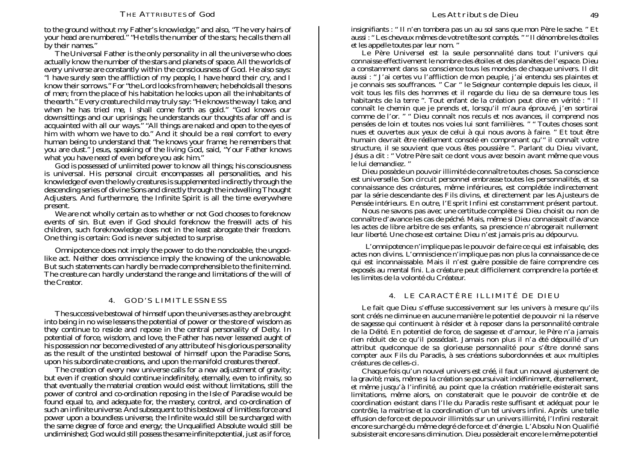to the ground without my Father's knowledge," and also, "The very hairs of your head are numbered." "He tells the number of the stars; he calls them all by their names."

The Universal Father is the only personality in all the universe who does actually know the number of the stars and planets of space. All the worlds of every universe are constantly within the consciousness of God. He also says: "I have surely seen the affliction of my people, I have heard their cry, and I know their sorrows." For "the Lord looks from heaven; he beholds all the sons of men; from the place of his habitation he looks upon all the inhabitants of the earth." Every creature child may truly say: "He knows the way I take, and when he has tried me, I shall come forth as gold." "God knows our downsittings and our uprisings; he understands our thoughts afar off and is acquainted with all our ways." "All things are naked and open to the eyes of him with whom we have to do." And it should be a real comfort to every human being to understand that "he knows your frame; he remembers that you are dust." Jesus, speaking of the living God, said, "Your Father knows what you have need of even before you ask him."

God is possessed of unlimited power to know all things; his consciousness is universal. His personal circuit encompasses all personalities, and his knowledge of even the lowly creatures is supplemented indirectly through the descending series of divine Sons and directly through the indwelling Thought Adjusters. And furthermore, the Infinite Spirit is all the time everywhere present.

We are not wholly certain as to whether or not God chooses to foreknow events of sin. But even if God should foreknow the freewill acts of his children, such foreknowledge does not in the least abrogate their freedom. One thing is certain: God is never subjected to surprise.

Omnipotence does not imply the power to do the nondoable, the ungodlike act. Neither does omniscience imply the knowing of the unknowable. But such statements can hardly be made comprehensible to the finite mind. The creature can hardly understand the range and limitations of the will of the Creator.

#### 4. GOD'S LIMITLESSNESS

The successive bestowal of himself upon the universes as they are brought into being in no wise lessens the potential of power or the store of wisdom as they continue to reside and repose in the central personality of Deity. In potential of force, wisdom, and love, the Father has never lessened aught of his possession nor become divested of any attribute of his glorious personality as the result of the unstinted bestowal of himself upon the Paradise Sons, upon his subordinate creations, and upon the manifold creatures thereof.

The creation of every new universe calls for a new adjustment of gravity; but even if creation should continue indefinitely, eternally, even to infinity, so that eventually the material creation would exist without limitations, still the power of control and co-ordination reposing in the Isle of Paradise would be found equal to, and adequate for, the mastery, control, and co-ordination of such an infinite universe. And subsequent to this bestowal of limitless force and power upon a boundless universe, the Infinite would still be surcharged with the same degree of force and energy; the Unqualified Absolute would still be undiminished; God would still possess the same infinite potential, just as if force,

insignifiants : " Il n'en tombera pas un au sol sans que mon Père le sache. " Et aussi : " Les cheveux mêmes de votre tête sont comptés. " " Il dénombre les étoiles et les appelle toutes par leur nom. "

Le Père Universel est la seule personnalité dans tout l'univers qui connaisse effectivement le nombre des étoiles et des planètes de l'espace. Dieu a constamment dans sa conscience tous les mondes de chaque univers. Il dit aussi : " J'ai certes vu l'affliction de mon peuple, j'ai entendu ses plaintes et je connais ses souffrances. " Car " le Seigneur contemple depuis les cieux, il voit tous les fils des hommes et il regarde du lieu de sa demeure tous les habitants de la terre ". Tout enfant de la création peut dire en vérité : " Il connaît le chemin que je prends et, lorsqu'il m'aura éprouvé, j'en sortirai comme de l'or. " " Dieu connaît nos reculs et nos avances, il comprend nos pensées de loin et toutes nos voies lui sont familières. " " Toutes choses sont nues et ouvertes aux yeux de celui à qui nous avons à faire. " Et tout être humain devrait être réellement consolé en comprenant qu'" il connaît votre structure, il se souvient que vous êtes poussière ". Parlant du Dieu vivant, Jésus a dit : " Votre Père sait ce dont vous avez besoin avant même que vous le lui demandiez. "

Dieu possède un pouvoir illimité de connaître toutes choses. Sa conscience est universelle. Son circuit personnel embrasse toutes les personnalités, et sa connaissance des créatures, même inférieures, est complétée indirectement par la série descendante des Fils divins, et directement par les Ajusteurs de Pensée intérieurs. En outre, l'Esprit Infini est constamment présent partout.

Nous ne savons pas avec une certitude complète si Dieu choisit ou non de connaître d'avance les cas de péché. Mais, même si Dieu connaissait d'avance les actes de libre arbitre de ses enfants, sa prescience n'abrogerait nullement leur liberté. Une chose est certaine: Dieu n'est jamais pris au dépourvu.

L'omnipotence n'implique pas le pouvoir de faire ce qui est infaisable, des actes non divins. L'omniscience n'implique pas non plus la connaissance de ce qui est inconnaissable. Mais il n'est guère possible de faire comprendre ces exposés au mental fini. La créature peut difficilement comprendre la portée et les limites de la volonté du Créateur.

### 4. LE CARACTÈRE ILLIMITÉ DE DIEU

Le fait que Dieu s'effuse successivement sur les univers à mesure qu'ils sont créés ne diminue en aucune manière le potentiel de pouvoir ni la réserve de sagesse qui continuent à résider et à reposer dans la personnalité centrale de la Déité. En potentiel de force, de sagesse et d'amour, le Père n'a jamais rien réduit de ce qu'il possédait. Jamais non plus il n'a été dépouillé d'un attribut quelconque de sa glorieuse personnalité pour s'être donné sans compter aux Fils du Paradis, à ses créations subordonnées et aux multiples créatures de celles-ci.

Chaque fois qu'un nouvel univers est créé, il faut un nouvel ajustement de la gravité; mais, même si la création se poursuivait indéfiniment, éternellement, et même jusqu'à l'infinité, au point que la création matérielle existerait sans limitations, même alors, on constaterait que le pouvoir de contrôle et de coordination existant dans l'Ile du Paradis reste suffisant et adéquat pour le contrôle, la maitrise et la coordination d'un tel univers infini. Après une telle effusion de force et de pouvoir illimités sur un univers illimité, l'Infini resterait encore surchargé du même degré de force et d'énergie. L'Absolu Non Qualifié subsisterait encore sans diminution. Dieu possèderait encore le même potentiel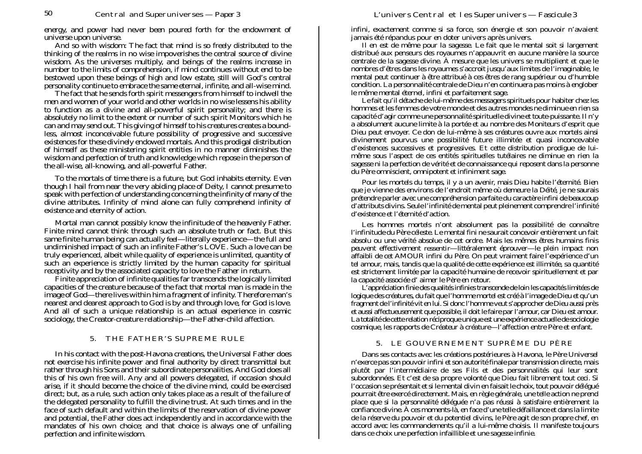energy, and power had never been poured forth for the endowment of universe upon universe.

And so with wisdom: The fact that mind is so freely distributed to the thinking of the realms in no wise impoverishes the central source of divine wisdom. As the universes multiply, and beings of the realms increase in number to the limits of comprehension, if mind continues without end to be bestowed upon these beings of high and low estate, still will God's central personality continue to embrace the same eternal, infinite, and all-wise mind.

The fact that he sends forth spirit messengers from himself to indwell the men and women of your world and other worlds in no wise lessens his ability to function as a divine and all-powerful spirit personality; and there is absolutely no limit to the extent or number of such spirit Monitors which he can and may send out. This giving of himself to his creatures creates a boundless, almost inconceivable future possibility of progressive and successive existences for these divinely endowed mortals. And this prodigal distribution of himself as these ministering spirit entities in no manner diminishes the wisdom and perfection of truth and knowledge which repose in the person of the all-wise, all-knowing, and all-powerful Father.

To the mortals of time there is a future, but God inhabits eternity. Even though I hail from near the very abiding place of Deity, I cannot presume to speak with perfection of understanding concerning the infinity of many of the divine attributes. Infinity of mind alone can fully comprehend infinity of existence and eternity of action.

Mortal man cannot possibly know the infinitude of the heavenly Father. Finite mind cannot think through such an absolute truth or fact. But this same finite human being can actually *feel*—literally experience—the full and undiminished impact of such an infinite Father's LOVE. Such a love can be truly experienced, albeit while quality of experience is unlimited, quantity of such an experience is strictly limited by the human capacity for spiritual receptivity and by the associated capacity to love the Father in return.

Finite appreciation of infinite qualities far transcends the logically limited capacities of the creature because of the fact that mortal man is made in the image of God—there lives within him a fragment of infinity. Therefore man's nearest and dearest approach to God is by and through love, for God is love. And all of such a unique relationship is an actual experience in cosmic sociology, the Creator-creature relationship—the Father-child affection.

## 5. THE FATHER'S SUPREME RULE

In his contact with the post-Havona creations, the Universal Father does not exercise his infinite power and final authority by direct transmittal but rather through his Sons and their subordinate personalities. And God does all this of his own free will. Any and all powers delegated, if occasion should arise, if it should become the choice of the divine mind, could be exercised direct; but, as a rule, such action only takes place as a result of the failure of the delegated personality to fulfill the divine trust. At such times and in the face of such default and within the limits of the reservation of divine power and potential, the Father does act independently and in accordance with the mandates of his own choice; and that choice is always one of unfailing perfection and infinite wisdom.

infini, exactement comme si sa force, son énergie et son pouvoir n'avaient jamais été répandus pour en doter univers après univers.

Il en est de même pour la sagesse. Le fait que le mental soit si largement distribué aux penseurs des royaumes n'appauvrit en aucune manière la source centrale de la sagesse divine. À mesure que les univers se multiplient et que le nombres d'êtres dans les royaumes s'accroit jusqu'aux limites de l'imaginable, le mental peut continuer à être attribué à ces êtres de rang supérieur ou d'humble condition. La personnalité centrale de Dieu n'en continuera pas moins à englober le même mental éternel, infini et parfaitement sage.

Le fait qu'il détache de lui-même des messagers spirituels pour habiter chez les hommes et les femmes de votre monde et des autres mondes ne diminue en rien sa capacité d'agir comme une personnalité spirituelle divine et toute-puissante. Il n'y a absolument aucune limite à la portée et au nombre des Moniteurs d'esprit que Dieu peut envoyer. Ce don de lui-même à ses créatures ouvre aux mortels ainsi divinement pourvus une possibilité future illimitée et quasi inconcevable d'existences successives et progressives. Et cette distribution prodigue de luimême sous l'aspect de ces entités spirituelles tutélaires ne diminue en rien la sagesse ni la perfection de vérité et de connaissance qui reposent dans la personne du Père omniscient, omnipotent et infiniment sage.

Pour les mortels du temps, il y a un avenir, mais Dieu habite l'éternité. Bien que je vienne des environs de l'endroit même où demeure la Déité, je ne saurais prétendre parler avec une compréhension parfaite du caractère infini de beaucoup d'attributs divins. Seule l'infinité de mental peut pleinement comprendre l'infinité d'existence et l'éternité d'action.

Les hommes mortels n'ont absolument pas la possibilité de connaître l'infinitude du Père céleste. Le mental fini ne saurait concevoir entièrement un fait absolu ou une vérité absolue de cet ordre. Mais les mêmes êtres humains finis peuvent effectivement *ressentir*—littéralement éprouver—le plein impact non affaibli de cet AMOUR infini du Père. On peut vraiment faire l'expérience d'un tel amour, mais, tandis que la qualité de cette expérience est illimitée, sa quantité est strictement limitée par la capacité humaine de recevoir spirituellement et par la capacité associée d' aimer le Père en retour.

L'appréciation finie des qualités infinies transcende de loin les capacités limitées de logique des créatures, du fait que l'homme mortel est créé à l'image de Dieu et qu'un fragment de l'infinité vit en lui. Si donc l'homme veut s'approcher de Dieu aussi près et aussi affectueusement que possible, il doit le faire par l'amour, car Dieu est amour. La totalité de cette relation réciproque unique est une expérience actuelle de sociologie cosmique, les rapports de Créateur à créature—l'affection entre Père et enfant.

## 5. LE GOUVERNEMENT SUPRÊME DU PÈRE

Dans ses contacts avec les créations postérieures à Havona, le Père Universel n'exerce pas son pouvoir infini et son autorité finale par transmission directe, mais plutôt par l'intermédiaire de ses Fils et des personnalités qui leur sont subordonnées. Et c'est de sa propre volonté que Dieu fait librement tout ceci. Si l'occasion se présentait et si le mental divin en faisait le choix, tout pouvoir délégué pourrait être exercé directement. Mais, en règle générale, une telle action ne prend place que si la personnalité déléguée n'a pas réussi à satisfaire entièrement la confiance divine. À ces moments-là, en face d'une telle défaillance et dans la limite de la réserve du pouvoir et du potentiel divins, le Père agit de son propre chef, en accord avec les commandements qu'il a lui-même choisis. Il manifeste toujours dans ce choix une perfection infaillible et une sagesse infinie.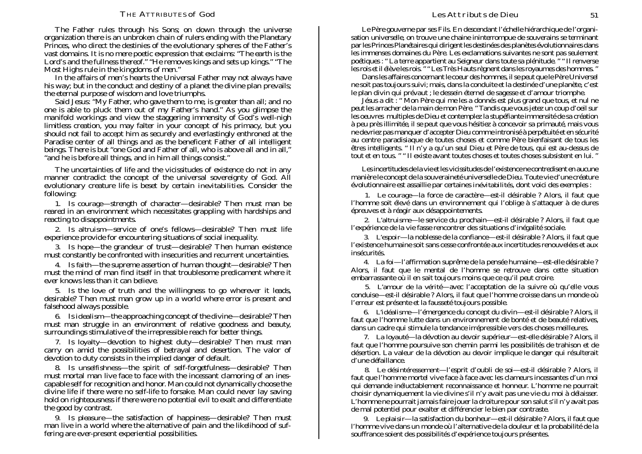The Father rules through his Sons; on down through the universe organization there is an unbroken chain of rulers ending with the Planetary Princes, who direct the destinies of the evolutionary spheres of the Father's vast domains. It is no mere poetic expression that exclaims: "The earth is the Lord's and the fullness thereof." "He removes kings and sets up kings." "The Most Highs rule in the kingdoms of men."

In the affairs of men's hearts the Universal Father may not always have his way; but in the conduct and destiny of a planet the divine plan prevails; the eternal purpose of wisdom and love triumphs.

Said Jesus: "My Father, who gave them to me, is greater than all; and no one is able to pluck them out of my Father's hand." As you glimpse the manifold workings and view the staggering immensity of God's well-nigh limitless creation, you may falter in your concept of his primacy, but you should not fail to accept him as securely and everlastingly enthroned at the Paradise center of all things and as the beneficent Father of all intelligent beings. There is but "one God and Father of all, who is above all and in all," "and he is before all things, and in him all things consist."

The uncertainties of life and the vicissitudes of existence do not in any manner contradict the concept of the universal sovereignty of God. All evolutionary creature life is beset by certain *inevitabilities.* Consider the following:

1. Is *courage*—strength of character—desirable? Then must man be reared in an environment which necessitates grappling with hardships and reacting to disappointments.

2. Is *altruism*—service of one's fellows—desirable? Then must life experience provide for encountering situations of social inequality.

3. Is *hope*—the grandeur of trust—desirable? Then human existence must constantly be confronted with insecurities and recurrent uncertainties.

4. Is *faith*—the supreme assertion of human thought—desirable? Then must the mind of man find itself in that troublesome predicament where it ever knows less than it can believe.

5. Is the *love of truth* and the willingness to go wherever it leads, desirable? Then must man grow up in a world where error is present and falsehood always possible.

6. Is *idealism*—the approaching concept of the divine—desirable? Then must man struggle in an environment of relative goodness and beauty, surroundings stimulative of the irrepressible reach for better things.

7. Is *loyalty*—devotion to highest duty—desirable? Then must man carry on amid the possibilities of betrayal and desertion. The valor of devotion to duty consists in the implied danger of default.

8. Is *unselfishness*—the spirit of self-forgetfulness—desirable? Then must mortal man live face to face with the incessant clamoring of an inescapable self for recognition and honor. Man could not dynamically choose the divine life if there were no self-life to forsake. Man could never lay saving hold on righteousness if there were no potential evil to exalt and differentiate the good by contrast.

9. Is *pleasure*—the satisfaction of happiness—desirable? Then must man live in a world where the alternative of pain and the likelihood of suffering are ever-present experiential possibilities.

#### Les Attributs de Dieu 51

Le Père gouverne par ses Fils. En descendant l'échelle hiérarchique de l'organisation universelle, on trouve une chaine ininterrompue de souverains se terminant par les Princes Planétaires qui dirigent les destinées des planètes évolutionnaires dans les immenses domaines du Père. Les exclamations suivantes ne sont pas seulement poétiques : " La terre appartient au Seigneur dans toute sa plénitude. " " Il renverse les rois et il élève les rois. " " Les Très Hauts règnent dans les royaumes des hommes. "

Dans les affaires concernant le coeur des hommes, il se peut que le Père Universel ne soit pas toujours suivi; mais, dans la conduite et la destinée d'une planète, c'est le plan divin qui prévaut ; le dessein éternel de sagesse et d'amour triomphe.

Jésus a dit : " Mon Père qui me les a donnés est plus grand que tous, et nul ne peut les arracher de la main de mon Père. " Tandis que vous jetez un coup d'oeil sur les oeuvres multiples de Dieu et contemplez la stupéfiante immensité de sa création à peu près illimitée, il se peut que vous hésitiez à concevoir sa primauté, mais vous ne devriez pas manquer d'accepter Dieu comme intronisé à perpétuité et en sécurité au centre paradisiaque de toutes choses et comme Père bienfaisant de tous les êtres intelligents. " Il n'y a qu'un seul Dieu et Père de tous, qui est au-dessus de tout et en tous. " " Il existe avant toutes choses et toutes choses subsistent en lui. "

Les incertitudes de la vie et les vicissitudes de l'existence ne contredisent en aucune manière le concept de la souveraineté universelle de Dieu. Toute vie d'une créature évolutionnaire est assaillie par certaines *inévitabilités*, dont voici des exemples :

1. *Le courage*—la force de caractère—est-il désirable ? Alors, il faut que l'homme soit élevé dans un environnement qui l'oblige à s'attaquer à de dures épreuves et à réagir aux désappointements.

2. *L'altruisme*—le service du prochain—est-il désirable ? Alors, il faut que l'expérience de la vie fasse rencontrer des situations d'inégalité sociale.

3. *L'espoir*—la noblesse de la confiance—est-il désirable ? Alors, il faut que l'existence humaine soit sans cesse confrontée aux incertitudes renouvelées et aux insécurités.

4. *La foi*—l'affirmation suprême de la pensée humaine—est-elle désirable ? Alors, il faut que le mental de l'homme se retrouve dans cette situation embarrassante où il en sait toujours moins que ce qu'il peut croire.

5. *L'amour de la vérit*é—avec l'acceptation de la suivre où qu'elle vous conduise—est-il désirable ? Alors, il faut que l'homme croisse dans un monde où l'erreur est présente et la fausseté toujours possible.

6. *L'idéalisme*—l'émergence du concept du divin—est-il désirable ? Alors, il faut que l'homme lutte dans un environnement de bonté et de beauté relatives, dans un cadre qui stimule la tendance irrépressible vers des choses meilleures.

7. *La loyaut*é—la dévotion au devoir supérieur—est-elle désirable ? Alors, il faut que l'homme poursuive son chemin parmi les possibilités de trahison et de désertion. La valeur de la dévotion au devoir implique le danger qui résulterait d'une défaillance.

8. *Le désintéressement*—l'esprit d'oubli de soi—est-il désirable ? Alors, il faut que l'homme mortel vive face à face avec les clameurs incessantes d'un moi qui demande inéluctablement reconnaissance et honneur. L'homme ne pourrait choisir dynamiquement la vie divine s'il n'y avait pas une vie du moi à délaisser. L'homme ne pourrait jamais faire jouer la droiture pour son salut s'il n'y avait pas de mal potentiel pour exalter et différencier le bien par contraste.

9. *Le plaisir*—la satisfaction du bonheur—est-il désirable ? Alors, il faut que l'homme vive dans un monde où l'alternative de la douleur et la probabilité de la souffrance soient des possibilités d'expérience toujours présentes.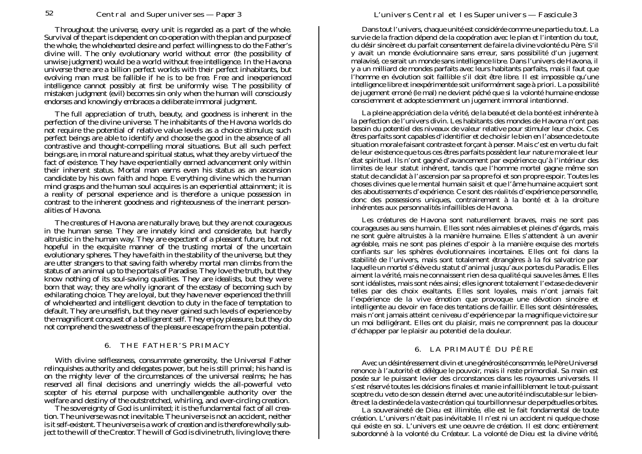Throughout the universe, every unit is regarded as a part of the whole. Survival of the part is dependent on co-operation with the plan and purpose of the whole, the wholehearted desire and perfect willingness to do the Father's divine will. The only evolutionary world without error (the possibility of unwise judgment) would be a world without *free* intelligence. In the Havona universe there are a billion perfect worlds with their perfect inhabitants, but evolving man must be fallible if he is to be free. Free and inexperienced mistaken judgment (evil) becomes sin only when the human will consciously endorses and knowingly embraces a deliberate immoral judgment.

The full appreciation of truth, beauty, and goodness is inherent in the perfection of the divine universe. The inhabitants of the Havona worlds do not require the potential of relative value levels as a choice stimulus; such perfect beings are able to identify and choose the good in the absence of all contrastive and thought-compelling moral situations. But all such perfect beings are, in moral nature and spiritual status, what they are by virtue of the fact of existence. They have experientially earned advancement only within their inherent status. Mortal man earns even his status as an ascension candidate by his own faith and hope. Everything divine which the human mind grasps and the human soul acquires is an experiential attainment; it is <sup>a</sup>*reality* of personal experience and is therefore a unique possession in contrast to the inherent goodness and righteousness of the inerrant personalities of Havona.

The creatures of Havona are naturally brave, but they are not courageous in the human sense. They are innately kind and considerate, but hardly altruistic in the human way. They are expectant of a pleasant future, but not hopeful in the exquisite manner of the trusting mortal of the uncertain evolutionary spheres. They have faith in the stability of the universe, but they are utter strangers to that saving faith whereby mortal man climbs from the status of an animal up to the portals of Paradise. They love the truth, but they know nothing of its soul-saving qualities. They are idealists, but they were born that way; they are wholly ignorant of the ecstasy of becoming such by exhilarating choice. They are loyal, but they have never experienced the thrill of wholehearted and intelligent devotion to duty in the face of temptation to default. They are unselfish, but they never gained such levels of experience by the magnificent conquest of a belligerent self. They enjoy pleasure, but they do not comprehend the sweetness of the pleasure escape from the pain potential.

#### 6. THE FATHER'S PRIMACY

With divine selflessness, consummate generosity, the Universal Father relinquishes authority and delegates power, but he is still primal; his hand is on the mighty lever of the circumstances of the universal realms; he has reserved all final decisions and unerringly wields the all-powerful veto scepter of his eternal purpose with unchallengeable authority over the welfare and destiny of the outstretched, whirling, and ever-circling creation.

The sovereignty of God is unlimited; it is the fundamental fact of all creation. The universe was not inevitable. The universe is not an accident, neither is it self-existent. The universe is a work of creation and is therefore wholly subject to the will of the Creator. The will of God is divine truth, living love; there-

Dans tout l'univers, chaque unité est considérée comme une partie du tout. La survie de la fraction dépend de la coopération avec le plan et l'intention du tout, du désir sincère et du parfait consentement de faire la divine volonté du Père. S'il y avait un monde évolutionnaire sans erreur, sans possibilité d'un jugement malavisé, ce serait un monde sans intelligence *libre.* Dans l'univers de Havona, il y a un milliard de mondes parfaits avec leurs habitants parfaits, mais il faut que l'homme en évolution soit faillible s'il doit être libre. Il est impossible qu'une intelligence libre et inexpérimentée soit uniformément sage à priori. La possibilité de jugement erroné (le mal) ne devient péché que si la volonté humaine endosse consciemment et adopte sciemment un jugement immoral intentionnel.

La pleine appréciation de la vérité, de la beauté et de la bonté est inhérente à la perfection de l'univers divin. Les habitants des mondes de Havona n'ont pas besoin du potentiel des niveaux de valeur relative pour stimuler leur choix. Ces êtres parfaits sont capables d'identifier et de choisir le bien en l'absence de toute situation morale faisant contraste et forçant à penser. Mais c'est en vertu du fait de leur existence que tous ces êtres parfaits possèdent leur nature morale et leur état spirituel. Ils n'ont gagné d'avancement par expérience qu'à l'intérieur des limites de leur statut inhérent, tandis que l'homme mortel gagne même son statut de candidat à l'ascension par sa propre foi et son propre espoir. Toutes les choses divines que le mental humain saisit et que l'âme humaine acquiert sont des aboutissements d'expérience. Ce sont des *réalités* d'expérience personnelle, donc des possessions uniques, contrairement à la bonté et à la droiture inhérentes aux personnalités infaillibles de Havona.

Les créatures de Havona sont naturellement braves, mais ne sont pas courageuses au sens humain. Elles sont nées aimables et pleines d'égards, mais ne sont guère altruistes à la manière humaine. Elles s'attendent à un avenir agréable, mais ne sont pas pleines d'espoir à la manière exquise des mortels confiants sur les sphères évolutionnaires incertaines. Elles ont foi dans la stabilité de l'univers, mais sont totalement étrangères à la foi salvatrice par laquelle un mortel s'élève du statut d'animal jusqu'aux portes du Paradis. Elles aiment la vérité, mais ne connaissent rien de sa qualité qui sauve les âmes. Elles sont idéalistes, mais sont nées ainsi; elles ignorent totalement l'extase de devenir telles par des choix exaltants. Elles sont loyales, mais n'ont jamais fait l'expérience de la vive émotion que provoque une dévotion sincère et intelligente au devoir en face des tentations de faillir. Elles sont désintéressées, mais n'ont jamais atteint ce niveau d'expérience par la magnifique victoire sur un moi belligérant. Elles ont du plaisir, mais ne comprennent pas la douceur d'échapper par le plaisir au potentiel de la douleur.

## 6. LA PRIMAUTÉ DU PÈRE

Avec un désintéressement divin et une générosité consommée, le Père Universel renonce à l'autorité et délègue le pouvoir, mais il reste primordial. Sa main est posée sur le puissant levier des circonstances dans les royaumes universels. Il s'est réservé toutes les décisions finales et manie infailliblement le tout-puissant sceptre du veto de son dessein éternel avec une autorité indiscutable sur le bienêtre et la destinée de la vaste création qui tourbillonne sur de perpétuelles orbites.

La souveraineté de Dieu est illimitée, elle est le fait fondamental de toute création. L'univers n'était pas inévitable. Il n'est ni un accident ni quelque chose qui existe en soi. L'univers est une oeuvre de création. Il est donc entièrement subordonné à la volonté du Créateur. La volonté de Dieu est la divine vérité,